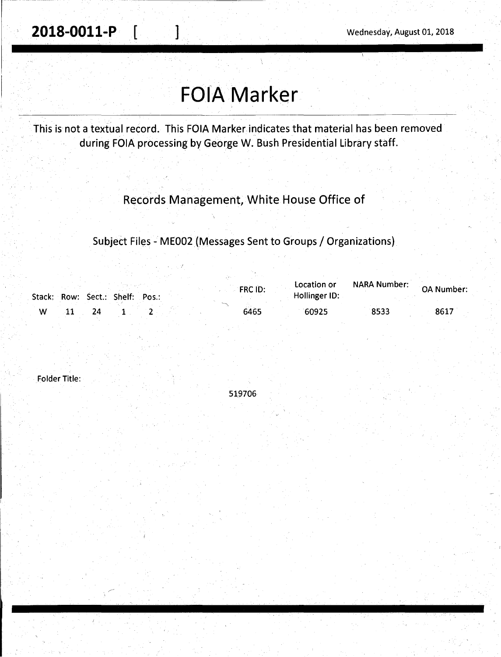# **FOIA Marker**

This is not a textual record. This FOIA Marker indicates that material has been removed during FOIA processing by George W. Bush Presidential Library staff.

Records Management, White House Office of

Subject Files - ME002 (Messages Sent to Groups / Organizations)

|   |  |  |  |                                 | FRC ID: | Location or   | NARA Number: | OA Number: |  |
|---|--|--|--|---------------------------------|---------|---------------|--------------|------------|--|
|   |  |  |  | Stack: Row: Sect.: Shelf: Pos.: |         | Hollinger ID: |              |            |  |
| W |  |  |  |                                 | 6465    | 60925         | 8533         | 8617       |  |

Folder Title:

519706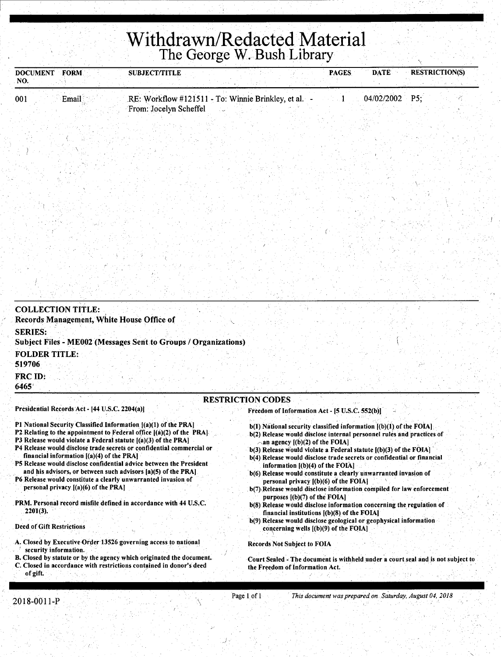## **Withdrawn/Redacted Material**  The George W. Bush Library

| <b>DOCUMENT</b><br>NO.                       | <b>FORM</b>                                                                          | <b>SUBJECT/TITLE</b>                                                                                                                                                                                                                                                                                                                                                                                                                                                                                                                                               |                                                                                                                                                                                                                                                                                                                                                                                                                                                                                                                                                                                                                                                                                                                                                                                                                                               | <b>PAGES</b> | <b>DATE</b> | <b>RESTRICTION(S)</b> |
|----------------------------------------------|--------------------------------------------------------------------------------------|--------------------------------------------------------------------------------------------------------------------------------------------------------------------------------------------------------------------------------------------------------------------------------------------------------------------------------------------------------------------------------------------------------------------------------------------------------------------------------------------------------------------------------------------------------------------|-----------------------------------------------------------------------------------------------------------------------------------------------------------------------------------------------------------------------------------------------------------------------------------------------------------------------------------------------------------------------------------------------------------------------------------------------------------------------------------------------------------------------------------------------------------------------------------------------------------------------------------------------------------------------------------------------------------------------------------------------------------------------------------------------------------------------------------------------|--------------|-------------|-----------------------|
| 001                                          | Email                                                                                | RE: Workflow #121511 - To: Winnie Brinkley, et al.<br>From: Jocelyn Scheffel                                                                                                                                                                                                                                                                                                                                                                                                                                                                                       |                                                                                                                                                                                                                                                                                                                                                                                                                                                                                                                                                                                                                                                                                                                                                                                                                                               |              | 04/02/2002  | P5                    |
|                                              |                                                                                      |                                                                                                                                                                                                                                                                                                                                                                                                                                                                                                                                                                    |                                                                                                                                                                                                                                                                                                                                                                                                                                                                                                                                                                                                                                                                                                                                                                                                                                               |              |             |                       |
|                                              |                                                                                      |                                                                                                                                                                                                                                                                                                                                                                                                                                                                                                                                                                    |                                                                                                                                                                                                                                                                                                                                                                                                                                                                                                                                                                                                                                                                                                                                                                                                                                               |              |             |                       |
|                                              |                                                                                      |                                                                                                                                                                                                                                                                                                                                                                                                                                                                                                                                                                    |                                                                                                                                                                                                                                                                                                                                                                                                                                                                                                                                                                                                                                                                                                                                                                                                                                               |              |             |                       |
|                                              |                                                                                      |                                                                                                                                                                                                                                                                                                                                                                                                                                                                                                                                                                    |                                                                                                                                                                                                                                                                                                                                                                                                                                                                                                                                                                                                                                                                                                                                                                                                                                               |              |             |                       |
|                                              |                                                                                      |                                                                                                                                                                                                                                                                                                                                                                                                                                                                                                                                                                    |                                                                                                                                                                                                                                                                                                                                                                                                                                                                                                                                                                                                                                                                                                                                                                                                                                               |              |             |                       |
|                                              |                                                                                      |                                                                                                                                                                                                                                                                                                                                                                                                                                                                                                                                                                    |                                                                                                                                                                                                                                                                                                                                                                                                                                                                                                                                                                                                                                                                                                                                                                                                                                               |              |             |                       |
|                                              |                                                                                      |                                                                                                                                                                                                                                                                                                                                                                                                                                                                                                                                                                    |                                                                                                                                                                                                                                                                                                                                                                                                                                                                                                                                                                                                                                                                                                                                                                                                                                               |              |             |                       |
|                                              |                                                                                      |                                                                                                                                                                                                                                                                                                                                                                                                                                                                                                                                                                    |                                                                                                                                                                                                                                                                                                                                                                                                                                                                                                                                                                                                                                                                                                                                                                                                                                               |              |             |                       |
|                                              |                                                                                      |                                                                                                                                                                                                                                                                                                                                                                                                                                                                                                                                                                    |                                                                                                                                                                                                                                                                                                                                                                                                                                                                                                                                                                                                                                                                                                                                                                                                                                               |              |             |                       |
|                                              |                                                                                      |                                                                                                                                                                                                                                                                                                                                                                                                                                                                                                                                                                    |                                                                                                                                                                                                                                                                                                                                                                                                                                                                                                                                                                                                                                                                                                                                                                                                                                               |              |             |                       |
|                                              | <b>COLLECTION TITLE:</b>                                                             | Records Management, White House Office of                                                                                                                                                                                                                                                                                                                                                                                                                                                                                                                          |                                                                                                                                                                                                                                                                                                                                                                                                                                                                                                                                                                                                                                                                                                                                                                                                                                               |              |             |                       |
| <b>SERIES:</b>                               |                                                                                      |                                                                                                                                                                                                                                                                                                                                                                                                                                                                                                                                                                    |                                                                                                                                                                                                                                                                                                                                                                                                                                                                                                                                                                                                                                                                                                                                                                                                                                               |              |             |                       |
|                                              |                                                                                      | Subject Files - ME002 (Messages Sent to Groups / Organizations)                                                                                                                                                                                                                                                                                                                                                                                                                                                                                                    |                                                                                                                                                                                                                                                                                                                                                                                                                                                                                                                                                                                                                                                                                                                                                                                                                                               |              |             |                       |
| <b>FOLDER TITLE:</b><br>519706               |                                                                                      |                                                                                                                                                                                                                                                                                                                                                                                                                                                                                                                                                                    |                                                                                                                                                                                                                                                                                                                                                                                                                                                                                                                                                                                                                                                                                                                                                                                                                                               |              |             |                       |
| <b>FRC ID:</b><br>6465                       |                                                                                      |                                                                                                                                                                                                                                                                                                                                                                                                                                                                                                                                                                    |                                                                                                                                                                                                                                                                                                                                                                                                                                                                                                                                                                                                                                                                                                                                                                                                                                               |              |             |                       |
|                                              |                                                                                      |                                                                                                                                                                                                                                                                                                                                                                                                                                                                                                                                                                    | <b>RESTRICTION CODES</b>                                                                                                                                                                                                                                                                                                                                                                                                                                                                                                                                                                                                                                                                                                                                                                                                                      |              |             |                       |
|                                              | Presidential Records Act - [44 U.S.C. 2204(a)]                                       |                                                                                                                                                                                                                                                                                                                                                                                                                                                                                                                                                                    | Freedom of Information Act - [5 U.S.C. 552(b)]                                                                                                                                                                                                                                                                                                                                                                                                                                                                                                                                                                                                                                                                                                                                                                                                |              |             |                       |
| 2201(3).<br><b>Deed of Gift Restrictions</b> | financial information $[(a)(4)$ of the PRA]<br>personal privacy $[(a)(6)$ of the PRA | P1 National Security Classified Information [(a)(1) of the PRA]<br>P2 Relating to the appointment to Federal office $[(a)(2)$ of the PRA<br>P3 Release would violate a Federal statute $[(a)(3)$ of the PRA<br>P4 Release would disclose trade secrets or confidential commercial or<br>P5 Release would disclose confidential advice between the President<br>and his advisors, or between such advisors [a](5) of the PRA]<br>P6 Release would constitute a clearly unwarranted invasion of<br>PRM. Personal record misfile defined in accordance with 44 U.S.C. | $b(1)$ National security classified information $(0)(1)$ of the FOIA<br>b(2) Release would disclose internal personnel rules and practices of<br>$\sim$ an agency [(b)(2) of the FOIA]<br>$b(3)$ Release would violate a Federal statute $[(b)(3)$ of the FOIA]<br>b(4) Release would disclose trade secrets or confidential or financial<br>information $[(b)(4)$ of the FOIA<br>b(6) Release would constitute a clearly unwarranted invasion of<br>personal privacy $[(b)(6)$ of the FOIA<br>b(7) Release would disclose information compiled for law enforcement<br>purposes $[(b)(7)$ of the FOIA]<br>b(8) Release would disclose information concerning the regulation of<br>financial institutions $[(b)(8)$ of the FOIA]<br>b(9) Release would disclose geological or geophysical information<br>concerning wells [(b)(9) of the FOIA] |              |             |                       |
|                                              | security information.                                                                | A. Closed by Executive Order 13526 governing access to national                                                                                                                                                                                                                                                                                                                                                                                                                                                                                                    | <b>Records Not Subject to FOIA</b>                                                                                                                                                                                                                                                                                                                                                                                                                                                                                                                                                                                                                                                                                                                                                                                                            |              |             |                       |

B. Closed by statute or by the agency which originated the document. C. Closed in accordance with restrictions contained in donor's deed of gift.

Court Sealed - The document is withheld under a court seal and is not subject to the Freedom of Information Act.

*I.·* 

I.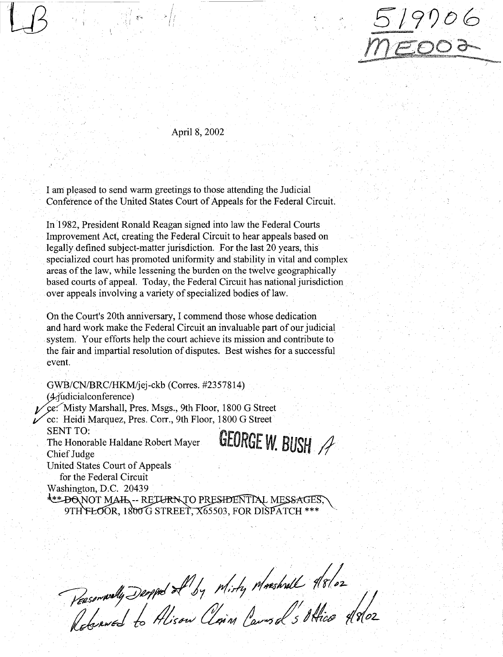

#### April 8, 2002

;. *I}*  I; *'}* 

I am: pleased to send warm greetings to those attending the Judicial Conference of the United States Court of Appeals for the Federal Circuit.

In 1982, President Ronald Reagan signed into law the Federal Courts Improvement Act, creating the Federal Circuit to hear appeals based on legally defined subject-matter jurisdiction. For the last 20 years, this specialized court has promoted uniformity and stability in vital and complex areas of the law, while lessening the burden on the twelve geographically based courts of appeal. Today, the Federal Circuit has national jurisdiction over appeals involving a variety of specialized bodies of law.

On the Court's 20th anniversary, I commend those whose dedication and hard work make the Federal Circuit an invaluable part of our judicial system. Your efforts help the court achieve its mission and contribute to the fair and impartial resolution of disputes. Best wishes for a successful event.

GWB/CN/BRC/HKM/jej-ckb (Corres. #2357814)  $(4)$ judicialconference)<br>ce: Misty Marshall, Pres. Msgs., 9th Floor, 1800 G Street i/"cc: Heidi Marquez, Pres. Corr., 9th Floor, 1800 G Street SENT TO: GEORGE W. BUSH A The Honorable Haldane Robert Mayer Chief Judge United States Court of Appeals for the Federal Circuit Washington, D.C. 20439 EXAMPLE ON MAIL -- RETURN TO PRESIDENTIAL MESSAGES,<br>9TH FLOOR, 1800 G STREET, X65503, FOR DISPATCH \*\*\*

Reservally Deopped of by Misty Mashall 18/02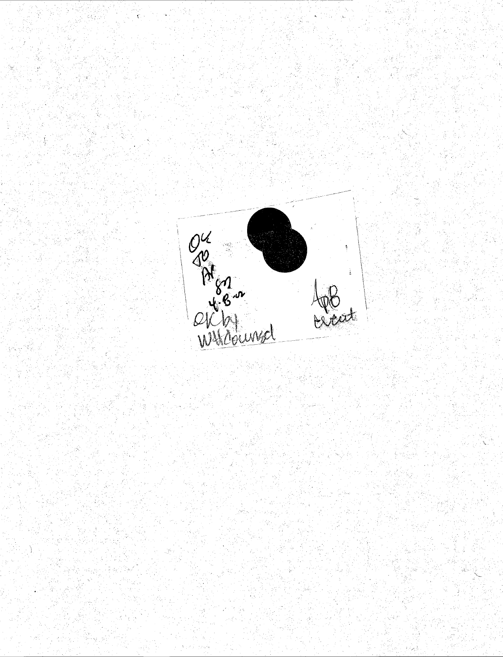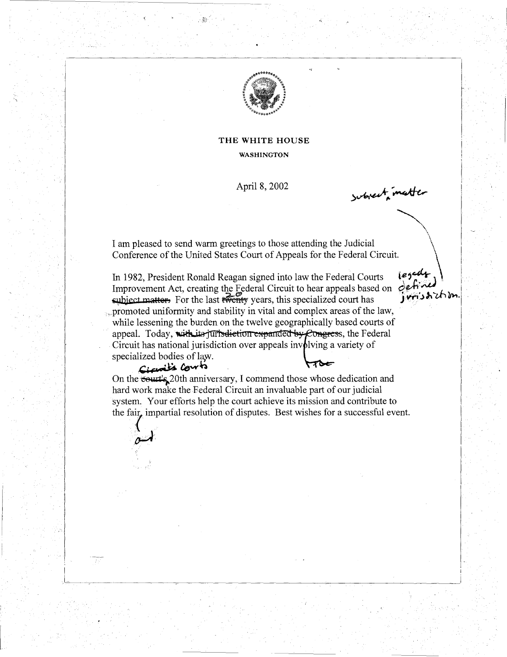

#### THE WHITE HOUSE WASHINGTON

April 8, 2002

subject matter

 $\diagdown$  $\ddot{\phantom{1}}$ 

I am pleased to send warm greetings to those attending the Judicial \ Conference of the United States Court of Appeals for the Federal Circuit.

legady<br>defined In 1982, President Ronald Reagan signed into law the Federal Courts Improvement Act, creating the Federal Circuit to hear appeals based on  $\partial e^{\frac{1}{2} \mathbf{i} \cdot \mathbf{k}}$ <br>subject matter. For the last the same this specialized court has subject matter. For the last twenty years, this specialized court has promoted uniformity and stability in vital and complex areas of the law, while lessening the burden on the twelve geographically based courts of appeal. Today, with its jurisdiction expanded by Congress, the Federal Circuit has national jurisdiction over appeals involving a variety of specialized bodies of law. Ave

Cicoits Cont

 $\stackrel{\frown}{\phantom{\overline{\phantom{F}}}}\hspace{-0.1in}\mathcal{A}$ 

On the <del>court's</del> 20th anniversary, I commend those whose dedication and hard work make the Federal Circuit an invaluable part of our judicial system. Your efforts help the court achieve its mission and contribute to the fair, impartial resolution of disputes. Best wishes for a successful event.

L\_\_\_\_~~--~~~~~~~~~~~~~~~~~~~~~~~~~~~~~~~~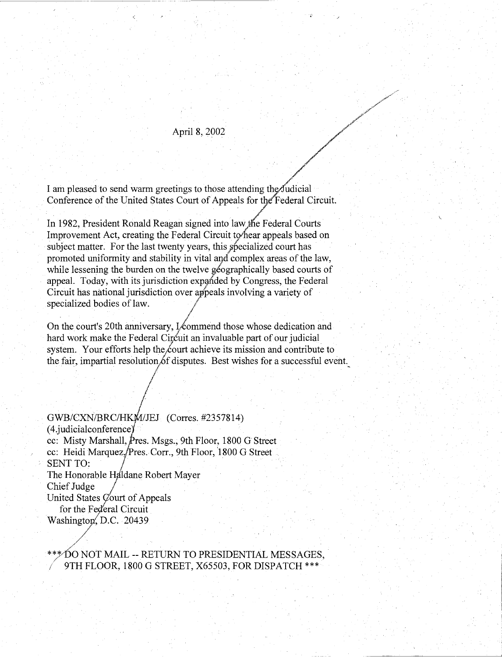# April 8, 2002

//

 $\cdot$   $\cdot$   $\cdot$ ;-if.

.,.,,,,... */* ~< /'

I am pleased to send warm greetings to those attending the Judicial Conference of the United States Court of Appeals for the Federal Circuit.

In 1982, President Ronald Reagan signed into law the Federal Courts Improvement Act, creating the Federal Circuit to hear appeals based on subject matter. For the last twenty years, this specialized court has promoted uniformity and stability in vital aqd complex areas of the law, while lessening the burden on the twelve geographically based courts of appeal. Today, with its jurisdiction expanded by Congress, the Federal Circuit has national jurisdiction over appeals involving a variety of specialized bodies of law.  $\begin{array}{c} \text{arized bodies of law.} \\ \text{or } \end{array}$ 

On the court's 20th anniversary,  $\frac{1}{2}$  commend those whose dedication and hard work make the Federal Circuit an invaluable part of our judicial system. Your efforts help the court achieve its mission and contribute to the fair, impartial resolution of disputes. Best wishes for a successful event.

 $\frac{1}{2}$ GWB/CXN/BRC/HKM/JEJ (Corres. #2357814) (4.judicialconference) cc: Misty Marshall, Pres. Msgs., 9th Floor, 1800 G Street cc: Heidi Marquez, Pres. Corr., 9th Floor, 1800 G Street SENT TO: The Honorable Haldane Robert Mayer Chief Judge United States  $\mathcal{C}$ ourt of Appeals for the Federal Circuit Washington, D.C. 20439

/

#### ./ \*~DO NOT MAIL -- RETURN TO PRESIDENTIAL MESSAGES, */* 9TH FLOOR, 1800 G STREET, X65503, FOR DISPATCH\*\*\*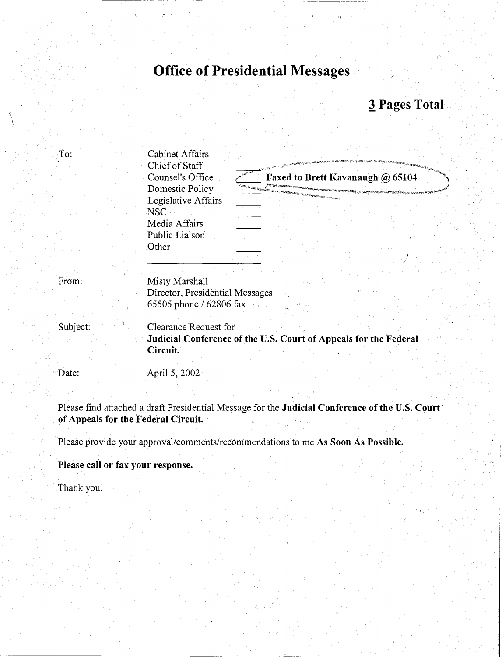# Office of Presidential Messages

## 3 Pages Total

| To:      | <b>Cabinet Affairs</b><br>Chief of Staff                                                              |
|----------|-------------------------------------------------------------------------------------------------------|
|          | Counsel's Office<br>Faxed to Brett Kavanaugh @ 65104<br>Domestic Policy                               |
|          | Legislative Affairs<br>NSC <sup>.</sup>                                                               |
|          | Media Affairs<br>Public Liaison                                                                       |
|          | Other                                                                                                 |
| From:    | Misty Marshall<br>Director, Presidential Messages<br>65505 phone / 62806 fax                          |
| Subject: | Clearance Request for<br>Judicial Conference of the U.S. Court of Appeals for the Federal<br>Circuit. |
| Date:    | April 5, 2002                                                                                         |
|          | Please find attached a draft Presidential Message for the Judicial Conference of the U.S. Court       |

of Appeals for the Federal Circuit.

Please provide your approval/comments/recommendations to me As Soon As Possible.

Please call or fax your response.

Thank you.

 $\int$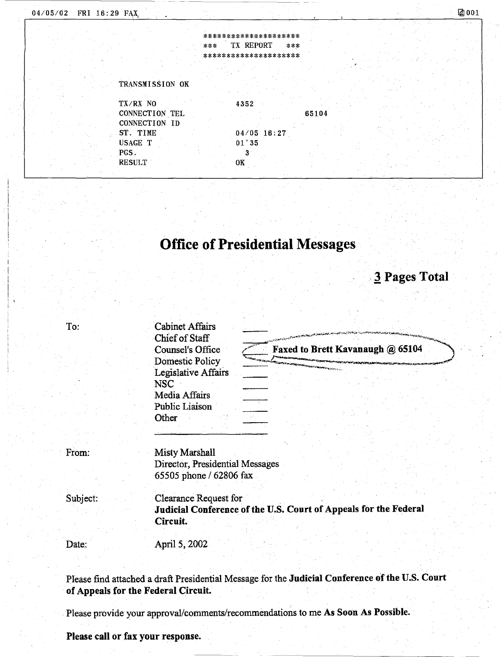|     | ********************* |     |
|-----|-----------------------|-----|
| *** | <b>TX REPORT</b>      | *** |

#### TRANSMISSION OK

TX/RX NO CONNECTION. TEL CONNECTION ID ST. TIME USAGE T PGS. RESULT

4352 04/05 16:27 01'35 3 OK

65104

# **Office of Presidential Messages**

# , **3 Pages Total**

| To:      | <b>Cabinet Affairs</b>                                                                                                                 |
|----------|----------------------------------------------------------------------------------------------------------------------------------------|
|          | Chief of Staff<br>Faxed to Brett Kavanaugh @ 65104<br><b>Counsel's Office</b><br>Domestic Policy                                       |
|          | Legislative Affairs<br><b>NSC</b><br>Media Affairs<br>Public Liaison<br>Other                                                          |
| From:    | Misty Marshall<br>Director, Presidential Messages<br>65505 phone / 62806 fax                                                           |
| Subject: | Clearance Request for<br>Judicial Conference of the U.S. Court of Appeals for the Federal<br>Circuit.                                  |
| Date:    | April 5, 2002                                                                                                                          |
|          | Please find attached a draft Presidential Message for the Judicial Conference of the U.S. Court<br>of Appeals for the Federal Circuit. |

Please provide your approval/comments/recommendations to me As **Soon As Possible.** 

#### **Please call or fax your response.**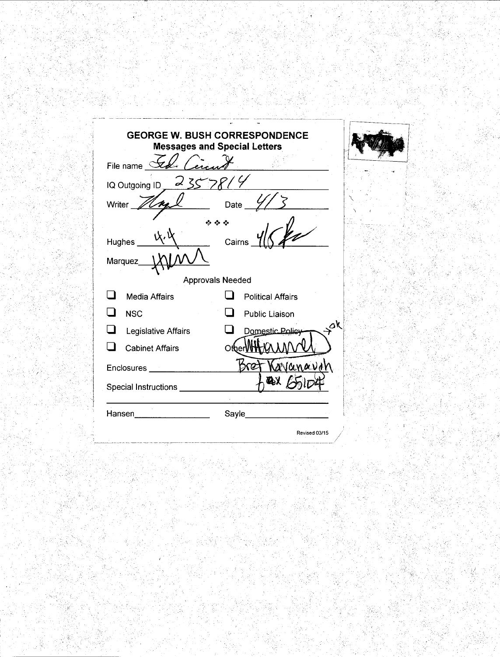|                         | <b>GEORGE W. BUSH CORRESPONDENCE</b><br><b>Messages and Special Letters</b> |  |  |  |  |
|-------------------------|-----------------------------------------------------------------------------|--|--|--|--|
| File name $\leq$        |                                                                             |  |  |  |  |
| 2552<br>IQ Outgoing ID. |                                                                             |  |  |  |  |
| Writer                  | Date                                                                        |  |  |  |  |
|                         |                                                                             |  |  |  |  |
| Cairns<br>Hughes        |                                                                             |  |  |  |  |
| Marquez                 |                                                                             |  |  |  |  |
|                         | <b>Approvals Needed</b>                                                     |  |  |  |  |
| <b>Media Affairs</b>    | <b>Political Affairs</b>                                                    |  |  |  |  |
| <b>NSC</b>              | Public Liaison                                                              |  |  |  |  |
| Legislative Affairs     | ÖK<br>Domestic Policy                                                       |  |  |  |  |
| <b>Cabinet Affairs</b>  | Oth                                                                         |  |  |  |  |
| Enclosures              | anavar<br>КG                                                                |  |  |  |  |
| Special Instructions _  |                                                                             |  |  |  |  |
| Hansen                  | Sayle                                                                       |  |  |  |  |
|                         | Revised 03/15                                                               |  |  |  |  |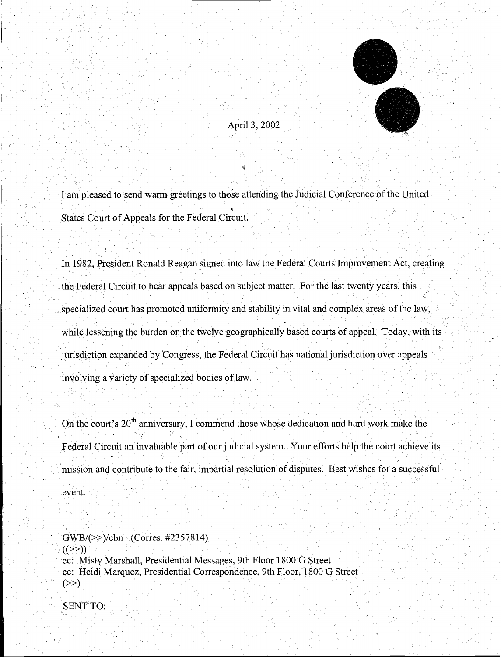

#### April 3, 2002

I am pleased to send warm greetings to those attending the Judicial Conference of the United • States Court of Appeals for the Federal Circuit.

. . . '

In 1982, President Ronald Reagan signed into law the Federal Courts Improvement Act, creating the Federal Circuit to hear appeals based on subject matter. For the last twenty years, this .( specialized court has promoted uniformity and stability in vital and complex areas of the law, while lessening the burden on the twelve geographically based courts of appeal. Today, with its '· " . jurisdiction expanded by Congress, the Federal Circuit has national jurisdiction over appeals involving a variety of specialized bodies of law.

On the court's 20<sup>th</sup> anniversary, I commend those whose dedication and hard work make the Federal Circuit an invaluable part of our judicial system. Your efforts help the court achieve its mission and contribute to the fair, impartial resolution of disputes. Best wishes for a successful event.

· GWB/(>>)/cbn (Corres. #2357814)  $((\ge)$ ) cc: Misty Marshall, Presidential Messages, 9th Floor 1800 G Street cc: Heidi Marquez, Presidential Correspondence, 9th Floor, 1800 G Street  $(\gg)$ 

SENT TO:

~·~~~ ~~~~~~~~~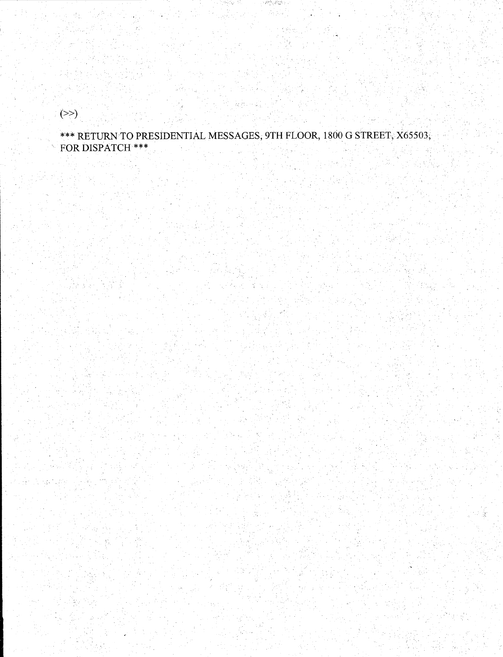$(\ge)$ 

\*\*\* RETURN TO PRESIDENTIAL MESSAGES, 9TH FLOOR, 1800 G STREET, X65503, FOR DISPATCH \*\*\*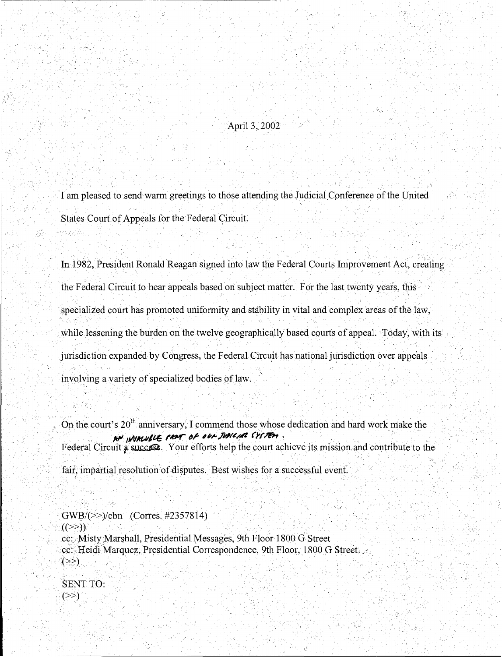April 3, 2002

' ,. '

I am pleased to send warm greetings to those attending the Judicial Conference of the United States Court of Appeals for the Federa1 Circuit.

In 1982, President Ronald Reagan signed into law the Federal Courts Improvement Act, creating. the Federal Circuit to hear appeals based on subject matter. For the last twenty years, this 그 외국 그 사람이 아니라 나는 그 일이 없었다. 그 사람은 그 사람이 자신이 있다. 이 사람들은 사람들이 아닌 것 같아. specialized court has promoted uniformity and stability in vital and complex areas of the law, while lessening the burden on the twelve geographically based courts of appeal. Today, with its jurisdiction expanded by Congress, the Federal Circuit has national jurisdiction over appeals involying a variety of specialized bodies of law;

On the court's 20<sup>th</sup> anniversary, I commend those whose dedication and hard work make the **!C#'·** illV/ttAI/~ I'~.~~ 4"~./Wl~~A *(yf,?&,* , . . . . ·. . . Federal Circuit a success. Your efforts help the court achieve its mission and contribute to the fair, impartial resolution of disputes. Best wishes for a successful event.

 $\mathbb{R} \rightarrow$ 

. .

. GWB/(>>)/cbn (Corres. #2357814)  $((\ge)$ ) cc: Misty Marshall, Presidential Messages, 9th Floor 1800 G Street cc:: Heidi Marquez, Presidential Correspondence, 9th Floor, 1800 G Street ...

SENT TO:  $(\ge)$ 

'. ~ .,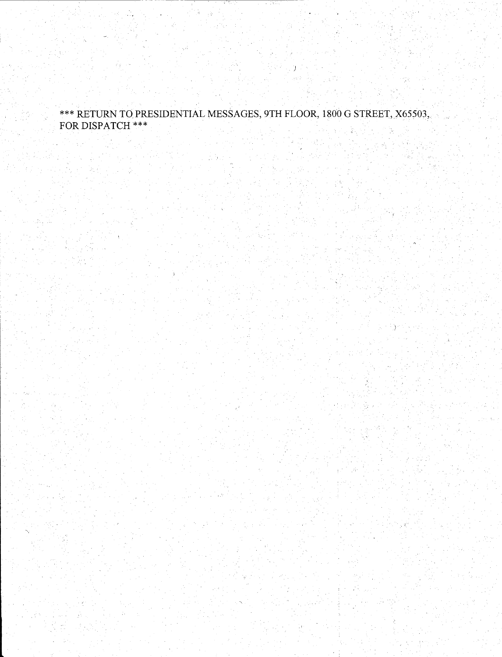#### \*\*\*RETURN TO PRESIDENTIAL MESSAGES, 9TH FLOOR, 1800 G STREET; X65503, FOR DISPATCH\*\*\*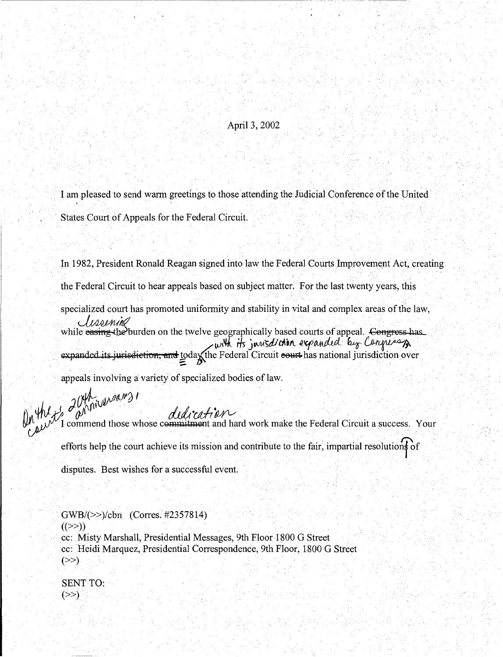#### April3,2002

I am pleased to send warm greetings to those attending the Judicial Conference of the United States Court of Appeals for the Federal Circuit.

In 1982, President Ronald Reagan signed into law the Federal Courts Improvement Act, creating . 이번 이 사회 이 시간이 있는 것이 있는 것이 있는 것이 없어. 이 시간이 있는 것이 없어요. 이 시간이 있어? . the Federal Circuit to hear appeals based on subject matter. For the last twenty years, this specialized court has promoted uniformity and stability in vital and complex areas of the law, the Federal Circuit to hear appeals based on subject matter. For the last twenty years, this<br>specialized court has promoted uniformity and stability in vital and complex areas of the law<br> $\sqrt{120$ MM/ $\%$ <br>while easing-the bu with its jurisdiction expanded by Congress of expanded its jurisdiction, and todax the Federal Circuit court has national jurisdiction over<br>appeals involving a variety of specialized bodies of law.

*AUPT* in *duality*<br>*M<sub>arb</sub>* I commend those whose commitment and hard work make the Federal Circuit a success. Your efforts help the court achieve its mission and contribute to the fair, impartial resolutions of disputes. Best wishes for a successful event.

GWB/(>>)/cbn (Corres. #2357814)  $((>>))$ cc: Misty Marshall, Presidential Messages, 9th Floor 1800 G Street cc: Heidi Marquez, Presidential Correspondence, 9th Floor, 1800 G Street  $($ >>)

SENT TO:  $(\ge)$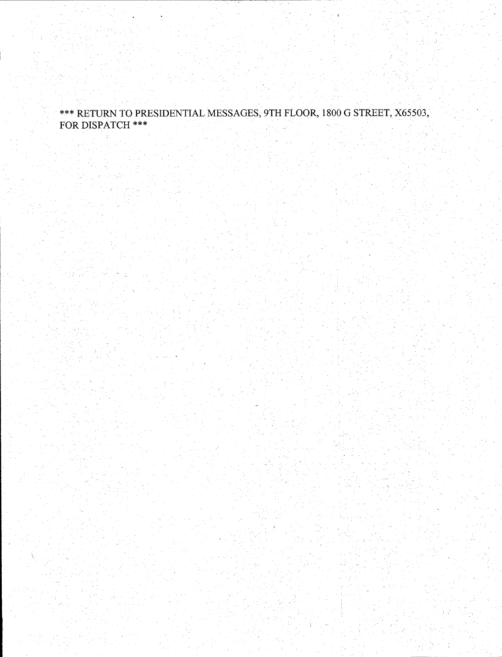#### \*\*\*RETURN TO PRESIDENTIAL MESSAGES, 9TH FLOOR, 1800 G STREET, X65503, FOR DISPATCH\*\*\*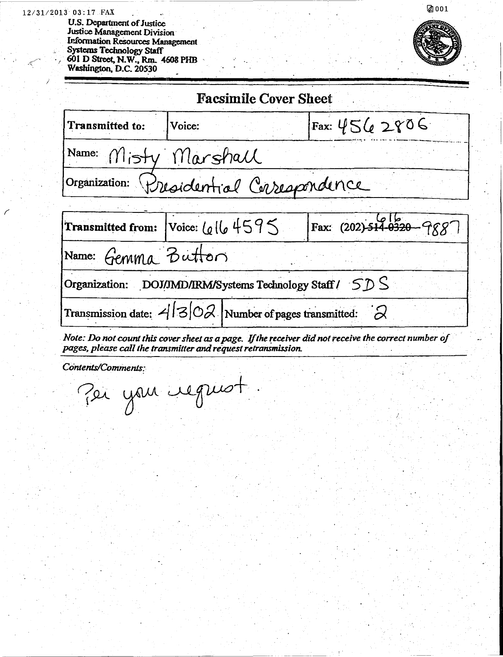#### 12/31/2013 03:17 FAX

U.S. Department of Justice Justice Management Division **Information Resources Management** Systems Technology Staff<br>Systems Technology Staff<br>601 D Street, N.W., Rm. 4608 PHB<br>Washington, D.C. 20530



Ø001

|                      | <b>Facsimile Cover Sheet</b>                                             |                                                                                                      |  |  |  |  |  |  |
|----------------------|--------------------------------------------------------------------------|------------------------------------------------------------------------------------------------------|--|--|--|--|--|--|
| Transmitted to:      | Voice:                                                                   | Fax: $4562806$                                                                                       |  |  |  |  |  |  |
| Name: Misty Marshall |                                                                          |                                                                                                      |  |  |  |  |  |  |
|                      | Organization: Dresidential Carespondence                                 |                                                                                                      |  |  |  |  |  |  |
|                      |                                                                          |                                                                                                      |  |  |  |  |  |  |
|                      | Transmitted from: Voice: $\lfloor \omega \rfloor \lfloor 6 + 59 \rfloor$ | Fax: (202)-514-0520-9887                                                                             |  |  |  |  |  |  |
|                      | Name: Gemma Button                                                       |                                                                                                      |  |  |  |  |  |  |
|                      | Organization: DOJ/JMD/IRM/Systems Technology Staff $/5D$                 |                                                                                                      |  |  |  |  |  |  |
|                      | Transmission date: $4 3 02 $ Number of pages transmitted: $2$            |                                                                                                      |  |  |  |  |  |  |
|                      | pages, please call the transmitter and request retransmission.           | Note: Do not count this cover sheet as a page. If the receiver did not receive the correct number of |  |  |  |  |  |  |

Contents/Comments: Per your request.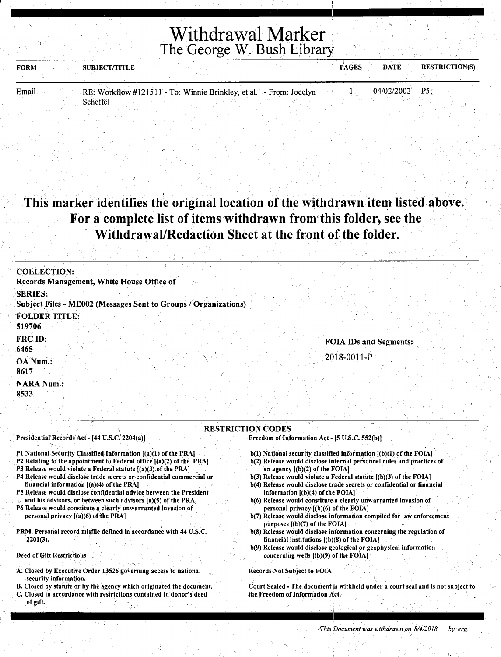## Withdrawal Marker The George W. Bush Library

| <b>FORM</b> | <b>SUBJECT/TITLE</b>                                               |  |  | <b>PAGES</b> | <b>DATE</b> | <b>RESTRICTION(S)</b> |
|-------------|--------------------------------------------------------------------|--|--|--------------|-------------|-----------------------|
|             |                                                                    |  |  |              |             |                       |
| Email       | RE: Workflow #121511 - To: Winnie Brinkley, et al. - From: Jocelyn |  |  |              | 04/02/2002  | P <sub>5</sub>        |

#### I . . ' This marker identifies the original location of the withdrawn item listed above. For a complete list of items withdrawn from' this folder, see the Withdrawal/Redaction Sheet at the front of the folder.

| <b>COLLECTION:</b>                                                                |                        |
|-----------------------------------------------------------------------------------|------------------------|
| Records Management, White House Office of                                         |                        |
| <b>SERIES:</b><br>Subject Files - ME002 (Messages Sent to Groups / Organizations) |                        |
| <b>FOLDER TITLE:</b><br>519706                                                    |                        |
| FRC ID:<br>.6465                                                                  | FOIA IDs and Segments: |
| OA Num.:<br>8617                                                                  | $-2018 - 0011 - P$     |
| <b>NARA Num.:</b><br>8533                                                         |                        |
|                                                                                   |                        |

#### \ Presidential Records Act - [44 U.S.C. 2204(a)]

Scheffel

#### Pl National Security Classified. Information [(a)(l) of the PRA)

- P2 Relating to the appointment to Federal office [(a)(2) of the PRA]
- P3 Release would violate a Federal statute [(a)(3):of the PRA)
- P4 Release would disclose trade secrets or confidential commercial or financial information  $[(a)(4)$  of the PRA]
- PS Release would disclose confidential advice between the President and his advisors, or between such advisors  $[a](5)$  of the PRA]
- P6 Release would constitute a clearly unwarranted invasion of personal privacy  $[(a)(6)$  of the PRA]
- PRM. Personal record misfile defined in accordance with 44 U.S.C. 2201(3). *{*

## Deed of Gift Restrictions

 $\cdot \infty$ 

- A. Closed by Executive Order 13526 governing access to national security information.
- B. Closed by statute or by the agency which originated the document.
- C. Closed in accordance with restrictions contained in donor's deed of gift.

#### RESTRICTION CODES

Freedom of Information Act- (5 U.S.C. 552(b)]

- $b(1)$  National security classified information  $[(b)(1)$  of the FOIA]
- b(2) Release would disclose internal personnel rules and practices of an agency [(b)(2) of the FOIA)
- b(3) Release would violate a Federal statute [(b)(3) of the FOIAJ
- b(4) Release would disclose trade secrets or confidential or financial information  $[(b)(4)$  of the FOIA]
- b(6) Release would constitute a clearly unwarranted invasion of  $\sim$ personal privacy  $[(b)(6)$  of the FOIA]
- b(7) Release would disclose information compiled for law enforcement purposes  $[(b)(7)$  of the FOIA]
- b(8) Release would disclose information concerning the regulation of financial institutions [(b)(8) of the FOIA)
- b(9) Release would disclose geological or geophysical information concerning wells  $[(b)(9)$  of the FOIA]

#### Records Not Subject to FOIA

 $\overline{\phantom{0}}$ Court Sealed - The document is withheld under a court seal and is not subject to the Freedom of Information Act.

 $\checkmark$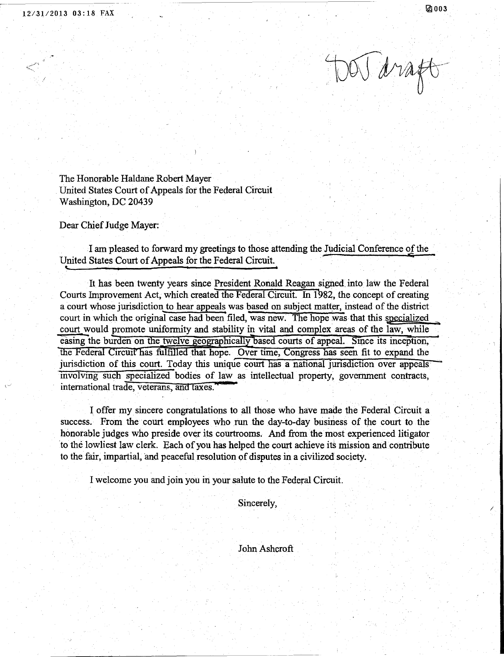(~

f

TOON draft

The Honorable Haldane Robert Mayer United States Court of Appeals for the Federal Circuit Washington, DC 20439

Dear Chief Judge Mayer:

I am pleased to forward my greetings to those attending the Judicial Conference of the United States Court of Appeals for the Federal Circuit.

It has been twenty years since President Ronald Reagan signed. into law the Federal Courts Improvement Act, which created the Federal Circuit. In 1982, the concept of creating a court whose jurisdiction to hear appeals was based on subject matter, instead of the district court in which the original case had been filed, was new. The hope was that this specialized court would promote uniformity and stability in vital and complex areas of the law, while easing the burden on the twelve geographically based courts of appeal. Since its inception, the Federal Circuit has fulfilled that hope. Over time, Congress has seen fit to expand the jurisdiction of this court. Today this unique court has a national jurisdiction over appeals mvolvmg such specialized bodies of law as intellectual property, govenunent contracts, international trade, veterans, and taxes. <sup>4</sup>

I offer my sincere congratulations to all those who have made the Federal Circuit a success. From the court employees who run the day-to-day business of the court to the honorable judges who preside over its courtrooms. And from the most experienced litigator 'to the lowliest law clerk. Each of you has helped the court achieve its mission and contribute to the fair, impartial, and peaceful resolution of disputes in a civilized society.

I welcome you and join you in your salute to the Federal Circuit.

Sincerely,

John Ashcroft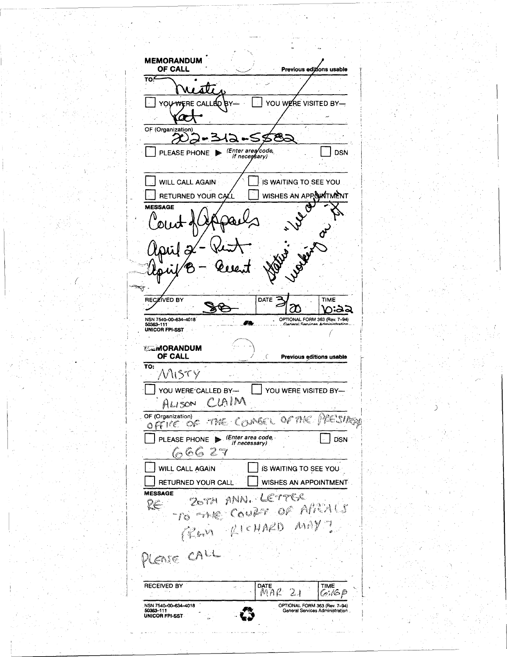**MEMORANDUM** OF CALL Previous editions usable  $\overline{\text{to}}$ āVī YOU WERE CALLED BY-YOU WERE VISITED BYœ OF (Organization) 585 プロ -312 ⊷ PLEASE PHONE Fire area code, **DSN WILL CALL AGAIN** IS WAITING TO SEE YOU. WISHES AN APPOINTMENT RETURNED YOUR CALL MESSAGE Alex 2021 Ė **RECZIVED BY** DATE<sup>2</sup> **TIME** m n:aa NSN 7540-00-634-4018<br>50363-111<br>UNICOR FPI-SST OPTIONAL FORM 363 (Rev. 7-94) **ELMORANDUM** OF CALL € Previous editions usable  $\overline{TO}$ MISTY YOU WERE CALLED BY-YOU WERE VISITED BY-CLAIM  $ALISON$ OF (Organization) OFFICE OF THE COUNSEL OF THE PRESIDED PLEASE PHONE  $\triangleright$  (Enter area code, if necessary) **DSN** 66627 WILL CALL AGAIN IS WAITING TO SEE YOU RETURNED YOUR CALL WISHES AN APPOINTMENT MESSAGE 20TH ANN, LETTER TO THE COURT OF APRALS RE Ron RICHARD MAY? PLEASE CALL  $\overline{MPE}$ **RECEIVED BY** TIME  $2<sub>1</sub>$ 60:16 P NSN 7540-00-634-4018 OPTIONAL FORM 363 (Rev. 7-94)<br>General Services Administration UNICOR FPI-SST LJ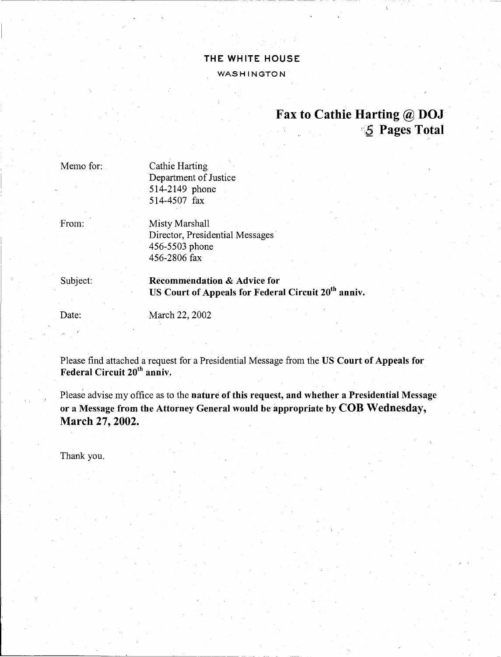### THE WHITE HOUSE WASHINGTON

## Fax to Cathie Harting @ DOJ **5 Pages Total**

Cathie Harting Department of Justice 514-2149 phone 514-4507 fax

From:

Memo for:

Misty Marshall Director, Presidential Messages 456-5503 phone 456-2806 fax

Subject: Recommendation & Advice for US Court of Appeals for Federal Circuit 20<sup>th</sup> anniv.

Date:

March 22, 2002

Please find attached a request for a Presidential Message from the US Court of Appeals for Federal Circuit 20<sup>th</sup> anniv.

Please advise my office as to the nature of this request, and whether a Presidential Message or a Message from the Attorney General would be appropriate by COB Wednesday, March 27, 2002.

Thank you.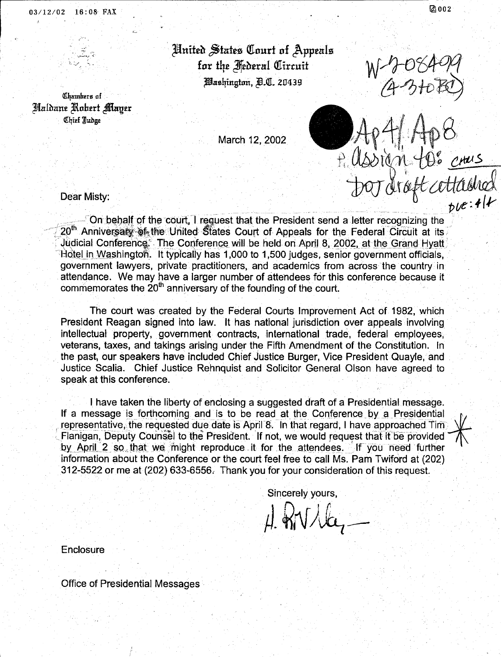03/12/02 16:08 FAX

United States Court of Appeals for the Hederal Circuit *Mashington, A.C. 20439* 

7 Assign 4

Chambers of Haldane Robert Mayer Chief Judge

March 12, 2002

Dear Misty:

 $0$ °  $_{\text{cuttained}}$ <br>cettached - On behalf of the court, I request that the President send a letter recognizing the 20<sup>th</sup> Anniversary of the United States Court of Appeals for the Federal Circuit at its Judicial Conference. The Conference will be held on April 8, 2002, at the Grand Hyatt Hotel in Washington. It typically has 1,000 to 1,500 judges, senior government officials, government lawyers, private practitioners, and academics from across the country in attendance. We may have a larger number of attendees for this conference because it commemorates the  $20<sup>th</sup>$  anniversary of the founding of the court.

The court was created by the Federal Courts Improvement Act of 1982, which President Reagan signed into law. It has national jurisdiction over appeals involving intellectual property, government contracts, international trade, federal employees, veterans, taxes, and takings arising under the Fifth Amendment of the Constitution. In the past, our speakers have included Chief Justice Burger, Vice President Quayle, and Justice Scalia. Chief Justice Rehnquist and Solicitor General Olson have agreed to speak at this conference.

I have taken the liberty of enclosing a suggested draft of a Presidential message. If a message is forthcoming and is to be read at the Conference by a Presidential representative, the requested due date is April 8. In that regard, I have approached Tim Flanigan, Deputy Counsel to the President. If not, we would request that if be provided by April 2 so that we might reproduce it for the attendees. If you need further information about the Conference or the court feel free to call Ms. Pam Twiford at (202) 312-5522 or me at (202) 633-6556. Thank you for your consideration of this request.

Sincerely yours,

 $H_{\text{MV}}/L$ 

Enclosure

**Office of Presidential Messages**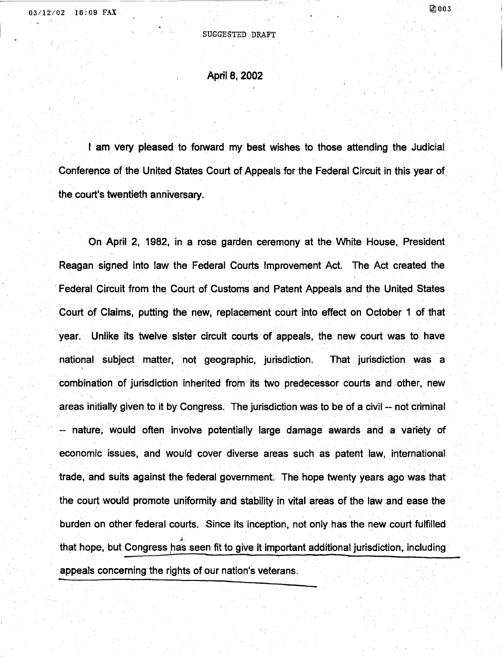#### SUGGESTED DRAFT

#### April 8, 2002

I am very pleased to forward my best wishes to those attending the Judicial Conference of the United States Court of Appeals for the Federal Circuit in this year of the court's twentieth anniversary.

On April 2, 1982, in a rose garden ceremony at the White House, President Reagan signed into law the Federal Courts Improvement Act. The Act created the Federal Circuit from the Court of Customs and Patent Appeals and the United States Court of Claims, putting the new, replacement court into effect on October 1 of that year. Unlike its twelve sister circuit courts of appeals, the new court was to have national subject matter, not geographic, jurisdiction. That jurisdiction was a  $\mathcal{L} = \{ \mathcal{L} \mid \mathcal{L} \in \mathcal{L} \}$  . The set of  $\mathcal{L} = \{ \mathcal{L} \}$ combination of jurisdiction inherited from its two predecessor courts and other, new areas initially given to it by Congress. The jurisdiction was to be of a civil -- not criminal -- nature, would often involve potentially large damage awards and a variety of economic issues, and would cover diverse areas such as patent law, international trade, and suits against the federal government: The hope twenty years ago was that . the court would promote uniformity and stability in vital areas of the law and ease the burden on other federal courts. Since its inception, not only has the new court fulfilled *. .fi.*  that hope, but Congress has seen fit to give it important additional jurisdiction, including appeals concerning the rights of our nation's veterans.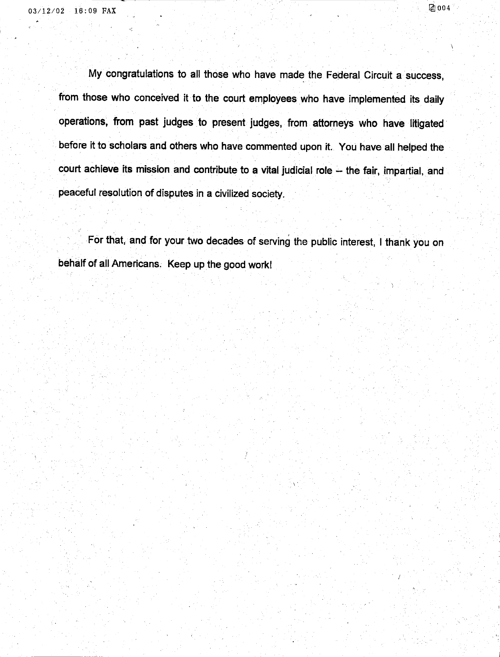$\cdot$  .

My congratulations to all those who have made the Federal Circuit a success, from those who conceived it to the court employees who have implemented its daily operations, from past judges to present judges, from attorneys who have litigated · before it to scholars and others who have commented upon it. You have all helped the court achieve its mission and contribute to a vital judicial role -- the fair, impartial, and peaceful resolution of disputes in a civilized society.

For that, and for your two decades of serving the public interest, I thank you on behalf of all Americans. Keep up the good work!

 $\mathcal{L}$